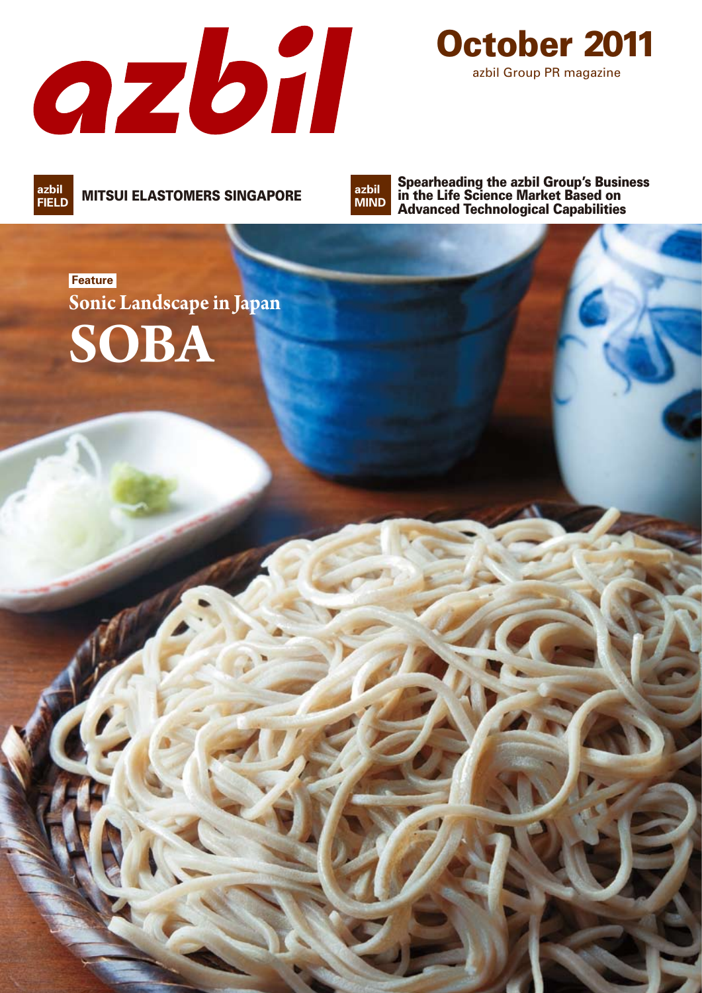



**MITSUI ELASTOMERS SINGAPORE FIELD**

**azbil MIND**

Spearheading the azbil Group's Business in the Life Science Market Based on Advanced Technological Capabilities

# **Feature SOBA Sonic Landscape in Japan**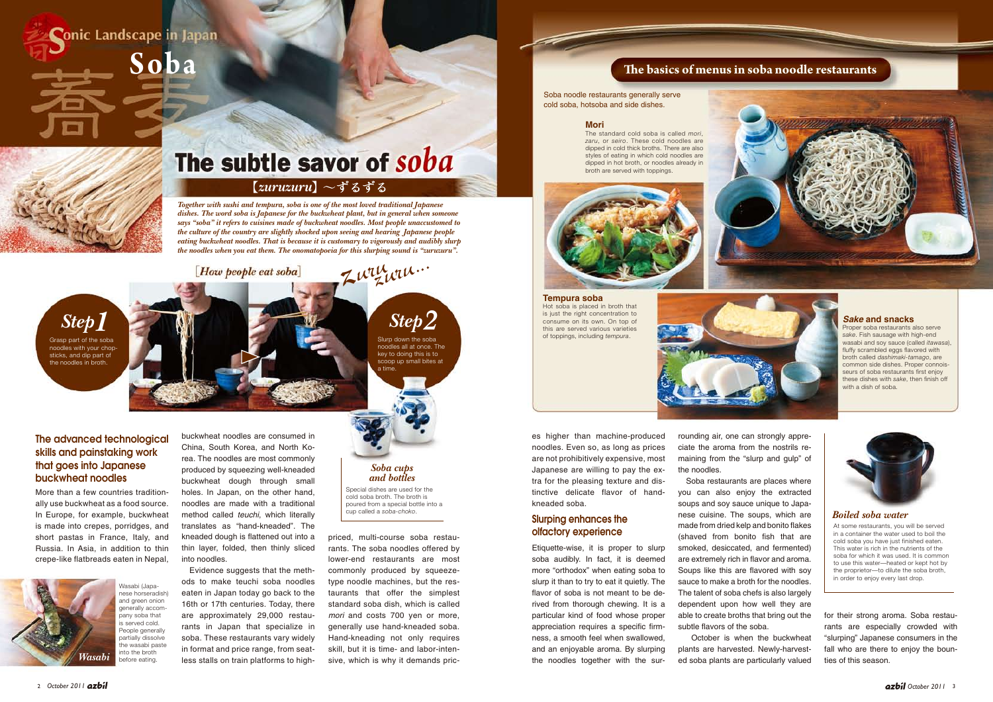More than a few countries traditionally use buckwheat as a food source. In Europe, for example, buckwheat is made into crepes, porridges, and short pastas in France, Italy, and Russia. In Asia, in addition to thin crepe-like flatbreads eaten in Nepal,

es higher than machine-produced noodles. Even so, as long as prices are not prohibitively expensive, most Japanese are willing to pay the extra for the pleasing texture and distinctive delicate flavor of handkneaded soba.

Etiquette-wise, it is proper to slurp soba audibly. In fact, it is deemed more "orthodox" when eating soba to slurp it than to try to eat it quietly. The flavor of soba is not meant to be derived from thorough chewing. It is a particular kind of food whose proper appreciation requires a specific firmness, a smooth feel when swallowed, and an enjoyable aroma. By slurping the noodles together with the surrounding air, one can strongly appreciate the aroma from the nostrils remaining from the "slurp and gulp" of the noodles.

 Soba restaurants are places where you can also enjoy the extracted soups and soy sauce unique to Japanese cuisine. The soups, which are made from dried kelp and bonito flakes (shaved from bonito fish that are smoked, desiccated, and fermented) are extremely rich in flavor and aroma. Soups like this are flavored with soy sauce to make a broth for the noodles. The talent of soba chefs is also largely dependent upon how well they are able to create broths that bring out the subtle flavors of the soba.

Evidence suggests that the methods to make teuchi soba noodles eaten in Japan today go back to the 16th or 17th centuries. Today, there are approximately 29,000 restaurants in Japan that specialize in soba. These restaurants vary widely in format and price range, from seatless stalls on train platforms to high-

 October is when the buckwheat plants are harvested. Newly-harvested soba plants are particularly valued

# The advanced technological skills and painstaking work that goes into Japanese buckwheat noodles

priced, multi-course soba restaurants. The soba noodles offered by lower-end restaurants are most commonly produced by squeezetype noodle machines, but the restaurants that offer the simplest standard soba dish, which is called *mori* and costs 700 yen or more, generally use hand-kneaded soba. Hand-kneading not only requires skill, but it is time- and labor-intensive, which is why it demands pric-

buckwheat noodles are consumed in

[How people eat soba]

China, South Korea, and North Korea. The noodles are most commonly produced by squeezing well-kneaded buckwheat dough through small holes. In Japan, on the other hand, noodles are made with a traditional method called *teuchi*, which literally translates as "hand-kneaded". The kneaded dough is flattened out into a thin layer, folded, then thinly sliced into noodles.

#### **Mori**

The standard cold soba is called *mori*, *zaru*, or *seiro*. These cold noodles are dipped in cold thick broths. There are also styles of eating in which cold noodles are dipped in hot broth, or noodles already in broth are served with toppings.



**Tempura soba** Hot soba is placed in broth that is just the right concentration to consume on its own. On top of this are served various varieties of toppings, including *tempura*.



### *Sake* **and snacks**

Proper soba restaurants also serve *sake*. Fish sausage with high-end wasabi and soy sauce (called *itawasa*), fluffy scrambled eggs flavored with broth called *dashimaki-tamago*, are common side dishes. Proper connoisseurs of soba restaurants first enjoy these dishes with *sake*, then finish off with a dish of soba.



*Together with sushi and tempura, soba is one of the most loved traditional Japanese dishes. The word soba is Japanese for the buckwheat plant, but in general when someone says "soba" it refers to cuisines made of buckwheat noodles. Most people unaccustomed to the culture of the country are slightly shocked upon seeing and hearing Japanese people eating buckwheat noodles. That is because it is customary to vigorously and audibly slurp the noodles when you eat them. The onomatopoeia for this slurping sound is "zuruzuru".*

【*zuruzuru*】

*<sup>z</sup>uru zuru...*



# The subtle savor of soba

for their strong aroma. Soba restaurants are especially crowded with "slurping" Japanese consumers in the fall who are there to enjoy the bounties of this season.

Special dishes are used for the cold soba broth. The broth is poured from a special bottle into a cup called a *soba-choko*.



At some restaurants, you will be served in a container the water used to boil the cold soba you have just finished eaten. This water is rich in the nutrients of the soba for which it was used. It is common to use this water—heated or kept hot by the proprietor—to dilute the soba broth, in order to enjoy every last drop.

# Slurping enhances the olfactory experience

Soba noodle restaurants generally serve cold soba, hotsoba and side dishes.

# **The basics of menus in soba noodle restaurants**

# *Soba cups and bottles*

# *Boiled soba water*

Slurp down the soba noodles all at once. The key to doing this is to scoop up small bites at *Step2*

a time.

Grasp part of the soba noodles with your chopsticks, and dip part of the noodles in broth.

*Step1*

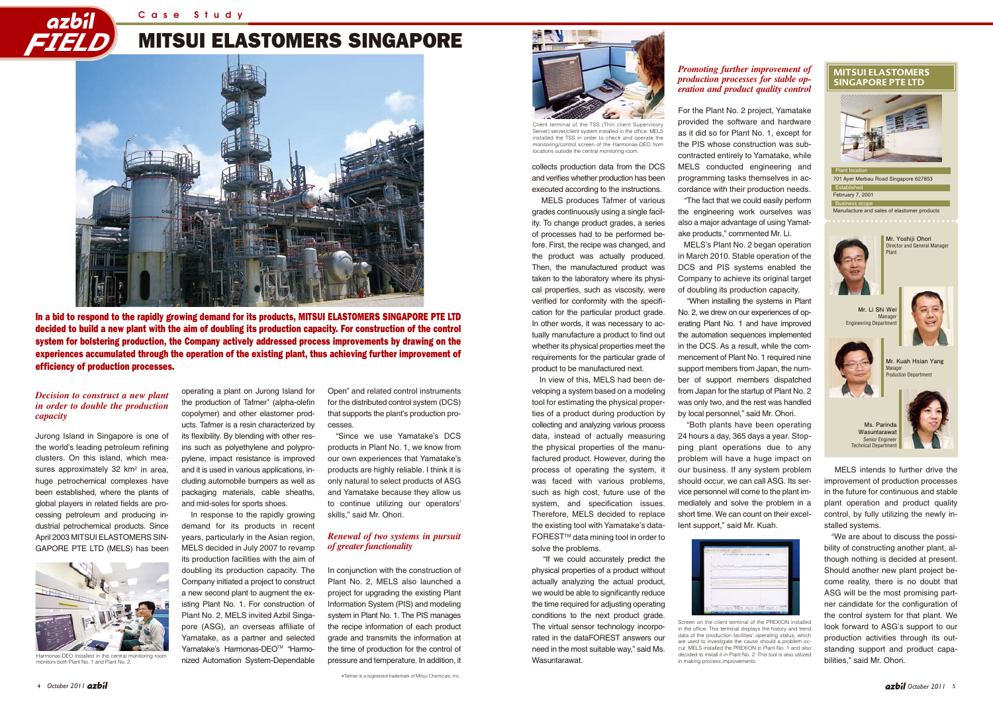# MITSUI ELASTOMERS SINGAPORE





In a bid to respond to the rapidly growing demand for its products, MITSUI ELASTOMERS SINGAPORE PTE LTD decided to build a new plant with the aim of doubling its production capacity. For construction of the control system for bolstering production, the Company actively addressed process improvements by drawing on the experiences accumulated through the operation of the existing plant, thus achieving further improvement of efficiency of production processes.



collects production data from the DCS and verifies whether production has been executed according to the instructions.

 MELS produces Tafmer of various grades continuously using a single facility. To change product grades, a series of processes had to be performed before. First, the recipe was changed, and the product was actually produced. Then, the manufactured product was taken to the laboratory where its physical properties, such as viscosity, were verified for conformity with the specification for the particular product grade. In other words, it was necessary to actually manufacture a product to find out whether its physical properties meet the requirements for the particular grade of product to be manufactured next.

 In view of this, MELS had been developing a system based on a modeling tool for estimating the physical properties of a product during production by collecting and analyzing various process data, instead of actually measuring the physical properties of the manufactured product. However, during the process of operating the system, it was faced with various problems, such as high cost, future use of the system, and specification issues. Therefore, MELS decided to replace the existing tool with Yamatake's data-FORESTTM data mining tool in order to solve the problems.

 "If we could accurately predict the physical properties of a product without actually analyzing the actual product, we would be able to significantly reduce the time required for adjusting operating conditions to the next product grade. The virtual sensor technology incorporated in the dataFOREST answers our need in the most suitable way," said Ms. Wasuntarawat.

For the Plant No. 2 project, Yamatake provided the software and hardware as it did so for Plant No. 1, except for the PIS whose construction was subcontracted entirely to Yamatake, while MELS conducted engineering and programming tasks themselves in accordance with their production needs. "The fact that we could easily perform the engineering work ourselves was also a major advantage of using Yamatake products," commented Mr. Li.

 MELS's Plant No. 2 began operation in March 2010. Stable operation of the DCS and PIS systems enabled the Company to achieve its original target of doubling its production capacity.

 "When installing the systems in Plant No. 2, we drew on our experiences of operating Plant No. 1 and have improved the automation sequences implemented in the DCS. As a result, while the commencement of Plant No. 1 required nine support members from Japan, the number of support members dispatched from Japan for the startup of Plant No. 2 was only two, and the rest was handled by local personnel," said Mr. Ohori.

in the office. This terminal displays the history and trend data of the production facilities' operating status, which are used to investigate the cause should a problem occur. MELS installed the PREXION in Plant No. 1 and also decided to install it in Plant No. 2. This tool is also utilized in making process improvements.

 "Both plants have been operating 24 hours a day, 365 days a year. Stopping plant operations due to any problem will have a huge impact on our business. If any system problem should occur, we can call ASG. Its service personnel will come to the plant immediately and solve the problem in a short time. We can count on their excellent support," said Mr. Kuah.

|                | 10 B FAR |   |       |
|----------------|----------|---|-------|
|                |          | ٠ |       |
| ļ              |          |   |       |
|                |          |   | n a s |
| $\overline{a}$ |          |   |       |

 MELS intends to further drive the improvement of production processes in the future for continuous and stable plant operation and product quality control, by fully utilizing the newly installed systems.

 "We are about to discuss the possibility of constructing another plant, although nothing is decided at present. Should another new plant project become reality, there is no doubt that ASG will be the most promising partner candidate for the configuration of the control system for that plant. We look forward to ASG's support to our production activities through its outstanding support and product capabilities," said Mr. Ohori.

Jurong Island in Singapore is one of the world's leading petroleum refining clusters. On this island, which measures approximately 32 km<sup>2</sup> in area, huge petrochemical complexes have been established, where the plants of global players in related fields are processing petroleum and producing industrial petrochemical products. Since April 2003 MITSUI ELASTOMERS SIN-GAPORE PTE LTD (MELS) has been

operating a plant on Jurong Island for the production of Tafmer**\*** (alpha-olefin copolymer) and other elastomer products. Tafmer is a resin characterized by its flexibility. By blending with other resins such as polyethylene and polypropylene, impact resistance is improved and it is used in various applications, including automobile bumpers as well as packaging materials, cable sheaths, and mid-soles for sports shoes.

 In response to the rapidly growing demand for its products in recent years, particularly in the Asian region, MELS decided in July 2007 to revamp its production facilities with the aim of doubling its production capacity. The Company initiated a project to construct a new second plant to augment the existing Plant No. 1. For construction of Plant No. 2, MELS invited Azbil Singapore (ASG), an overseas affiliate of Yamatake, as a partner and selected Yamatake's Harmonas-DEO™ "Harmonized Automation System-Dependable

Open" and related control instruments for the distributed control system (DCS) that supports the plant's production processes.

"Since we use Yamatake's DCS products in Plant No. 1, we know from our own experiences that Yamatake's products are highly reliable. I think it is only natural to select products of ASG and Yamatake because they allow us to continue utilizing our operators' skills," said Mr. Ohori.

In conjunction with the construction of Plant No. 2, MELS also launched a project for upgrading the existing Plant Information System (PIS) and modeling system in Plant No. 1. The PIS manages the recipe information of each product grade and transmits the information at the time of production for the control of pressure and temperature. In addition, it

# *Decision to construct a new plant in order to double the production capacity*

### *Renewal of two systems in pursuit of greater functionality*

# *Promoting further improvement of production processes for stable operation and product quality control*



Client terminal of the TSS (Thin client Supervisory Server) server/client system installed in the office. MELS installed the TSS in order to check and operate the monitoring/control screen of the Harmonas-DEO from locations outside the central monitoring room.



Screen on the client terminal of the PREXION installed

**\***Tafmer is a registered trademark of Mitsui Chemicals, Inc.



Harmonas-DEO installed in the central monitoring room monitors both Plant No. 1 and Plant No. 2.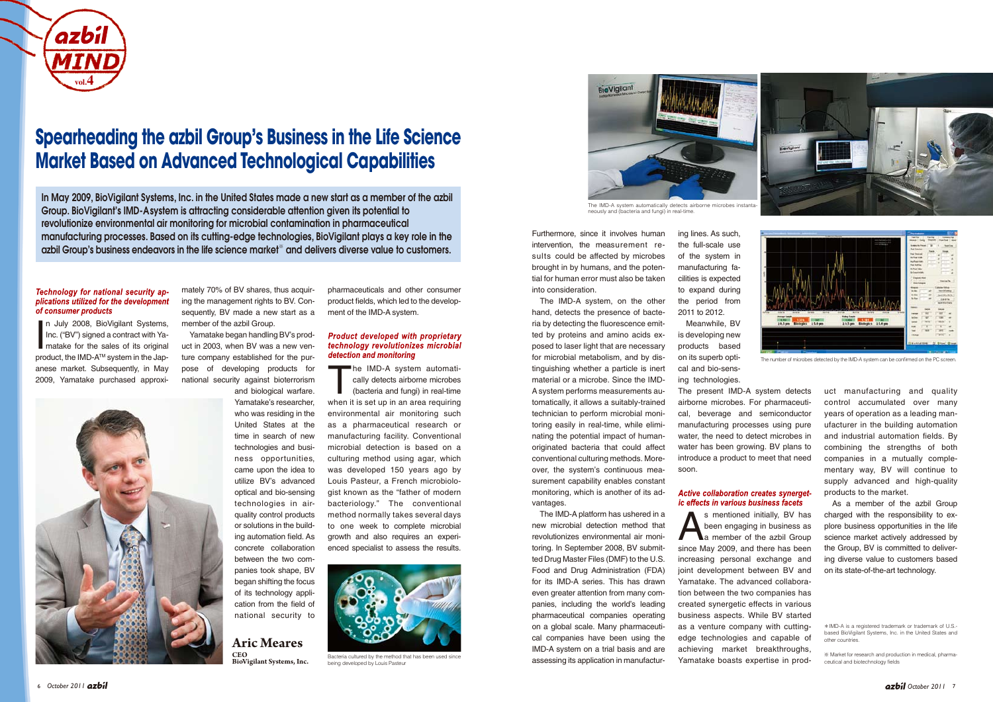uct manufacturing and quality control accumulated over many years of operation as a leading manufacturer in the building automation and industrial automation fields. By combining the strengths of both companies in a mutually complementary way, BV will continue to supply advanced and high-quality products to the market.

As a member of the azbil Group charged with the responsibility to explore business opportunities in the life science market actively addressed by the Group, BV is committed to delivering diverse value to customers based on its state-of-the-art technology.

mately 70% of BV shares, thus acquiring the management rights to BV. Consequently, BV made a new start as a member of the azbil Group.

I n July 2008, BioVigilant Systems, Inc. ("BV") signed a contract with Yamatake for the sales of its original product, the IMD-A<sup>™</sup> system in the Japanese market. Subsequently, in May 2009, Yamatake purchased approxi-



Yamatake began handling BV's product in 2003, when BV was a new venture company established for the purpose of developing products for national security against bioterrorism and biological warfare.

 $\blacksquare$  he IMD-A system automatically detects airborne microbes (bacteria and fungi) in real-time when it is set up in an area requiring environmental air monitoring such as a pharmaceutical research or manufacturing facility. Conventional microbial detection is based on a culturing method using agar, which was developed 150 years ago by Louis Pasteur, a French microbiologist known as the "father of modern bacteriology." The conventional method normally takes several days to one week to complete microbial growth and also requires an experienced specialist to assess the results.

Yamatake's researcher, who was residing in the United States at the time in search of new technologies and business opportunities, came upon the idea to utilize BV's advanced optical and bio-sensing technologies in airquality control products or solutions in the building automation field. As concrete collaboration between the two companies took shape, BV began shifting the focus of its technology application from the field of national security to

pharmaceuticals and other consumer product fields, which led to the development of the IMD-A system.

# **Product developed with proprietary** technology revolutionizes microbial detection and monitoring

s mentioned initially, BV has<br>been engaging in business as<br>a member of the azbil Group been engaging in business as since May 2009, and there has been increasing personal exchange and joint development between BV and Yamatake. The advanced collaboration between the two companies has created synergetic effects in various business aspects. While BV started as a venture company with cuttingedge technologies and capable of achieving market breakthroughs, Yamatake boasts expertise in prod-

Furthermore, since it involves human intervention, the measurement results could be affected by microbes brought in by humans, and the potential for human error must also be taken into consideration.

The IMD-A system, on the other hand, detects the presence of bacteria by detecting the fluorescence emitted by proteins and amino acids exposed to laser light that are necessary for microbial metabolism, and by distinguishing whether a particle is inert material or a microbe. Since the IMD-A system performs measurements automatically, it allows a suitably-trained technician to perform microbial monitoring easily in real-time, while eliminating the potential impact of humanoriginated bacteria that could affect conventional culturing methods. Moreover, the system's continuous measurement capability enables constant monitoring, which is another of its advantages.

The IMD-A platform has ushered in a new microbial detection method that revolutionizes environmental air monitoring. In September 2008, BV submitted Drug Master Files (DMF) to the U.S. Food and Drug Administration (FDA) for its IMD-A series. This has drawn even greater attention from many companies, including the world's leading pharmaceutical companies operating on a global scale. Many pharmaceutical companies have been using the IMD-A system on a trial basis and are assessing its application in manufactur-

ing lines. As such, the full-scale use of the system in manufacturing facilities is expected to expand during the period from 2011 to 2012.

Meanwhile, BV is developing new products based on its superb optical and bio-sensing technologies. The present IMD-A system detects airborne microbes. For pharmaceutical, beverage and semiconductor manufacturing processes using pure water, the need to detect microbes in water has been growing. BV plans to introduce a product to meet that need soon.

### Active collaboration creates synergetic effects in various business facets

# **Aric Meares CEO**

**BioVigilant Systems, Inc.** 





Bacteria cultured by the method that has been used since being developed by Louis Pasteur



The number of microbes detected by the IMD-A system can be confirmed on the PC screen.



# **Spearheading the azbil Group's Business in the Life Science Market Based on Advanced Technological Capabilities**

In May 2009, BioVigilant Systems, Inc. in the United States made a new start as a member of the azbil Group. BioVigilant's IMD-Asystem is attracting considerable attention given its potential to revolutionize environmental air monitoring for microbial contamination in pharmaceutical manufacturing processes. Based on its cutting-edge technologies, BioVigilant plays a key role in the azbil Group's business endeavors in the life science market※ and delivers diverse value to customers.

#### Technology for national security applications utilized for the development of consumer products

<sup>※</sup> Market for research and production in medical, pharmaceutical and biotechnology fields

<sup>\*</sup>IMD-A is a registered trademark or trademark of U.S. based BioVigilant Systems, Inc. in the United States and other countries.